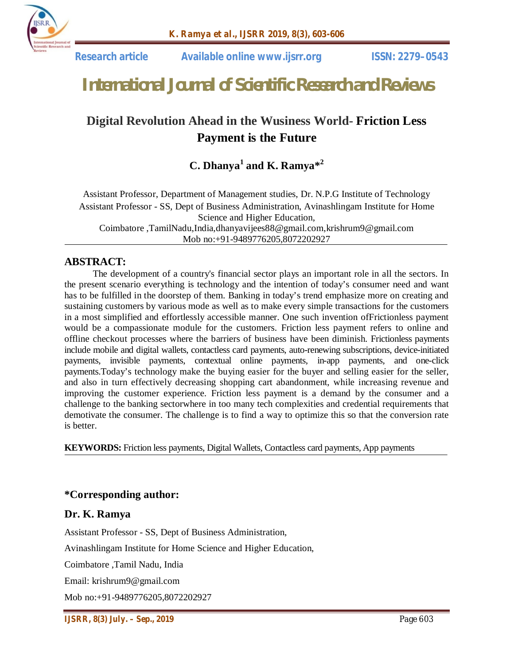

 **Research article Available online www.ijsrr.org ISSN: 2279–0543**

# *International Journal of Scientific Research and Reviews*

# **Digital Revolution Ahead in the Wusiness World- Friction Less Payment is the Future**

## **C. Dhanya<sup>1</sup> and K. Ramya\* 2**

Assistant Professor, Department of Management studies, Dr. N.P.G Institute of Technology Assistant Professor - SS, Dept of Business Administration, Avinashlingam Institute for Home Science and Higher Education, Coimbatore ,TamilNadu,India,dhanyavijees88@gmail.com,krishrum9@gmail.com Mob no:+91-9489776205,8072202927

#### **ABSTRACT:**

The development of a country's financial sector plays an important role in all the sectors. In the present scenario everything is technology and the intention of today's consumer need and want has to be fulfilled in the doorstep of them. Banking in today's trend emphasize more on creating and sustaining customers by various mode as well as to make every simple transactions for the customers in a most simplified and effortlessly accessible manner. One such invention ofFrictionless payment would be a compassionate module for the customers. Friction less payment refers to online and offline checkout processes where the barriers of business have been diminish. Frictionless payments include mobile and digital wallets, contactless card payments, auto-renewing subscriptions, device-initiated payments, invisible payments, contextual online payments, in-app payments, and one-click payments.Today's technology make the buying easier for the buyer and selling easier for the seller, and also in turn effectively decreasing shopping cart abandonment, while increasing revenue and improving the customer experience. Friction less payment is a demand by the consumer and a challenge to the banking sectorwhere in too many tech complexities and credential requirements that demotivate the consumer. The challenge is to find a way to optimize this so that the conversion rate is better.

**KEYWORDS:** Friction less payments, Digital Wallets, Contactless card payments, App payments

#### **\*Corresponding author:**

#### **Dr. K. Ramya**

Assistant Professor - SS, Dept of Business Administration,

Avinashlingam Institute for Home Science and Higher Education,

Coimbatore ,Tamil Nadu, India

Email: krishrum9@gmail.com

Mob no:+91-9489776205,8072202927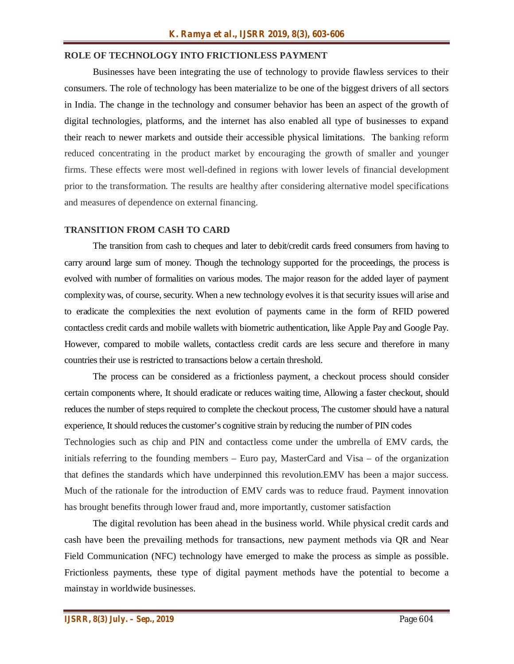#### **ROLE OF TECHNOLOGY INTO FRICTIONLESS PAYMENT**

Businesses have been integrating the use of technology to provide flawless services to their consumers. The role of technology has been materialize to be one of the biggest drivers of all sectors in India. The change in the technology and consumer behavior has been an aspect of the growth of digital technologies, platforms, and the internet has also enabled all type of businesses to expand their reach to newer markets and outside their accessible physical limitations. The banking reform reduced concentrating in the product market by encouraging the growth of smaller and younger firms. These effects were most well-defined in regions with lower levels of financial development prior to the transformation. The results are healthy after considering alternative model specifications and measures of dependence on external financing.

#### **TRANSITION FROM CASH TO CARD**

The transition from cash to cheques and later to debit/credit cards freed consumers from having to carry around large sum of money. Though the technology supported for the proceedings, the process is evolved with number of formalities on various modes. The major reason for the added layer of payment complexity was, of course, security. When a new technology evolves it is that security issues will arise and to eradicate the complexities the next evolution of payments came in the form of RFID powered contactless credit cards and mobile wallets with biometric authentication, like Apple Pay and Google Pay. However, compared to mobile wallets, contactless credit cards are less secure and therefore in many countries their use is restricted to transactions below a certain threshold.

The process can be considered as a frictionless payment, a checkout process should consider certain components where, It should eradicate or reduces waiting time, Allowing a faster checkout, should reduces the number of steps required to complete the checkout process, The customer should have a natural experience, It should reduces the customer's cognitive strain by reducing the number of PIN codes

Technologies such as chip and PIN and contactless come under the umbrella of EMV cards, the initials referring to the founding members – Euro pay, MasterCard and Visa – of the organization that defines the standards which have underpinned this revolution.EMV has been a major success. Much of the rationale for the introduction of EMV cards was to reduce fraud. Payment innovation has brought benefits through lower fraud and, more importantly, customer satisfaction

The digital revolution has been ahead in the business world. While physical credit cards and cash have been the prevailing methods for transactions, new payment methods via QR and Near Field Communication (NFC) technology have emerged to make the process as simple as possible. Frictionless payments, these type of digital payment methods have the potential to become a mainstay in worldwide businesses.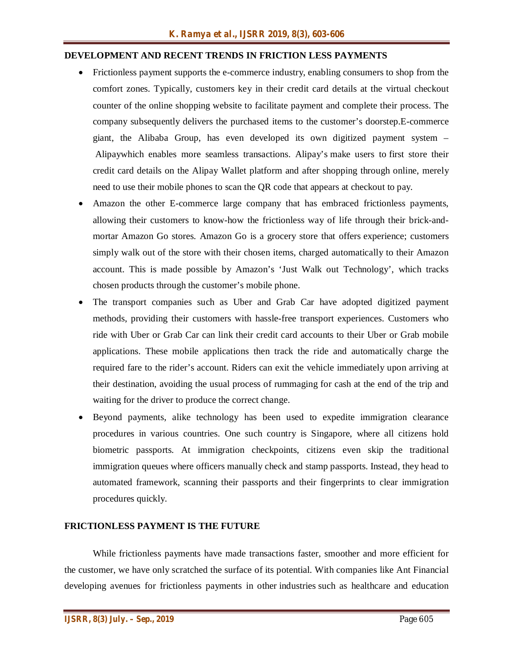#### **DEVELOPMENT AND RECENT TRENDS IN FRICTION LESS PAYMENTS**

- Frictionless payment supports the e-commerce industry, enabling consumers to shop from the comfort zones. Typically, customers key in their credit card details at the virtual checkout counter of the online shopping website to facilitate payment and complete their process. The company subsequently delivers the purchased items to the customer's doorstep.E-commerce giant, the Alibaba Group, has even developed its own digitized payment system – Alipaywhich enables more seamless transactions. Alipay's make users to first store their credit card details on the Alipay Wallet platform and after shopping through online, merely need to use their mobile phones to scan the QR code that appears at checkout to pay.
- Amazon the other E-commerce large company that has embraced frictionless payments, allowing their customers to know-how the frictionless way of life through their brick-andmortar Amazon Go stores. Amazon Go is a grocery store that offers experience; customers simply walk out of the store with their chosen items, charged automatically to their Amazon account. This is made possible by Amazon's 'Just Walk out Technology', which tracks chosen products through the customer's mobile phone.
- The transport companies such as Uber and Grab Car have adopted digitized payment methods, providing their customers with hassle-free transport experiences. Customers who ride with Uber or Grab Car can link their credit card accounts to their Uber or Grab mobile applications. These mobile applications then track the ride and automatically charge the required fare to the rider's account. Riders can exit the vehicle immediately upon arriving at their destination, avoiding the usual process of rummaging for cash at the end of the trip and waiting for the driver to produce the correct change.
- Beyond payments, alike technology has been used to expedite immigration clearance procedures in various countries. One such country is Singapore, where all citizens hold biometric passports. At immigration checkpoints, citizens even skip the traditional immigration queues where officers manually check and stamp passports. Instead, they head to automated framework, scanning their passports and their fingerprints to clear immigration procedures quickly.

#### **FRICTIONLESS PAYMENT IS THE FUTURE**

While frictionless payments have made transactions faster, smoother and more efficient for the customer, we have only scratched the surface of its potential. With companies like Ant Financial developing avenues for frictionless payments in other industries such as healthcare and education